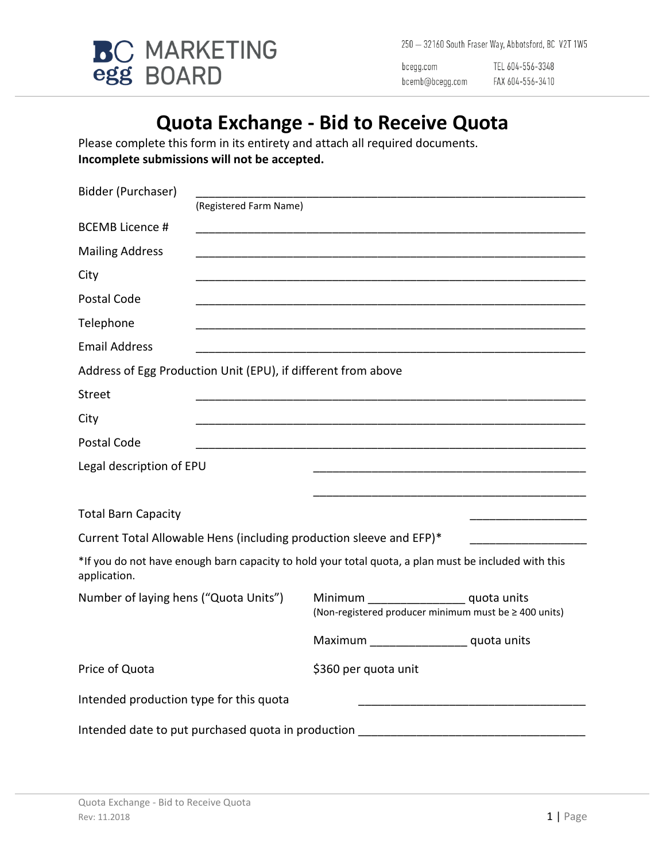

250 - 32160 South Fraser Way, Abbotsford, BC V2T 1W5

bcegg.com bcemb@bcegg.com

TEL 604-556-3348 FAX 604-556-3410

# **Quota Exchange - Bid to Receive Quota**

Please complete this form in its entirety and attach all required documents. **Incomplete submissions will not be accepted.**

| Bidder (Purchaser)                      |                                                               |                                                                                                      |  |
|-----------------------------------------|---------------------------------------------------------------|------------------------------------------------------------------------------------------------------|--|
|                                         | (Registered Farm Name)                                        |                                                                                                      |  |
| <b>BCEMB Licence #</b>                  |                                                               |                                                                                                      |  |
| <b>Mailing Address</b>                  |                                                               |                                                                                                      |  |
| City                                    |                                                               |                                                                                                      |  |
| Postal Code                             |                                                               |                                                                                                      |  |
| Telephone                               |                                                               |                                                                                                      |  |
| <b>Email Address</b>                    |                                                               |                                                                                                      |  |
|                                         | Address of Egg Production Unit (EPU), if different from above |                                                                                                      |  |
| <b>Street</b>                           |                                                               |                                                                                                      |  |
| City                                    |                                                               |                                                                                                      |  |
| Postal Code                             |                                                               |                                                                                                      |  |
| Legal description of EPU                |                                                               |                                                                                                      |  |
|                                         |                                                               |                                                                                                      |  |
| <b>Total Barn Capacity</b>              |                                                               |                                                                                                      |  |
|                                         |                                                               | Current Total Allowable Hens (including production sleeve and EFP)*                                  |  |
| application.                            |                                                               | *If you do not have enough barn capacity to hold your total quota, a plan must be included with this |  |
| Number of laying hens ("Quota Units")   |                                                               | Minimum ____________________ quota units<br>(Non-registered producer minimum must be ≥ 400 units)    |  |
|                                         |                                                               | Maximum ___________________ quota units                                                              |  |
| Price of Quota                          |                                                               | \$360 per quota unit                                                                                 |  |
| Intended production type for this quota |                                                               |                                                                                                      |  |
|                                         | Intended date to put purchased quota in production            |                                                                                                      |  |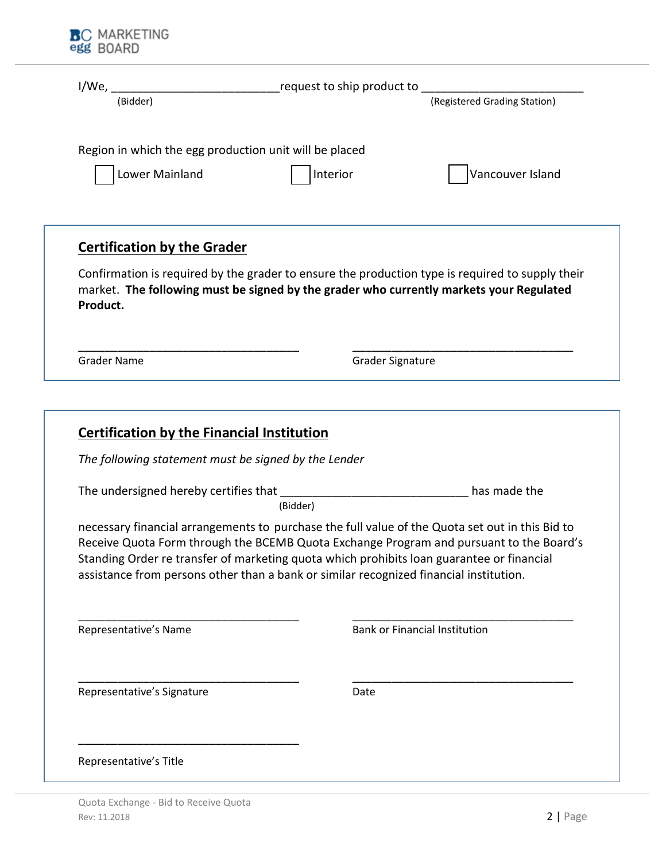| Region in which the egg production unit will be placed |                                                                                                                                                                                                                                                                                                                                                                                               |
|--------------------------------------------------------|-----------------------------------------------------------------------------------------------------------------------------------------------------------------------------------------------------------------------------------------------------------------------------------------------------------------------------------------------------------------------------------------------|
| Lower Mainland                                         | Interior<br>Vancouver Island                                                                                                                                                                                                                                                                                                                                                                  |
|                                                        |                                                                                                                                                                                                                                                                                                                                                                                               |
| <b>Certification by the Grader</b>                     |                                                                                                                                                                                                                                                                                                                                                                                               |
| Product.                                               | Confirmation is required by the grader to ensure the production type is required to supply their<br>market. The following must be signed by the grader who currently markets your Regulated                                                                                                                                                                                                   |
| <b>Grader Name</b>                                     | <b>Grader Signature</b>                                                                                                                                                                                                                                                                                                                                                                       |
| <b>Certification by the Financial Institution</b>      |                                                                                                                                                                                                                                                                                                                                                                                               |
| The following statement must be signed by the Lender   |                                                                                                                                                                                                                                                                                                                                                                                               |
|                                                        | has made the                                                                                                                                                                                                                                                                                                                                                                                  |
| The undersigned hereby certifies that                  |                                                                                                                                                                                                                                                                                                                                                                                               |
|                                                        | (Bidder)<br>necessary financial arrangements to purchase the full value of the Quota set out in this Bid to<br>Receive Quota Form through the BCEMB Quota Exchange Program and pursuant to the Board's<br>Standing Order re transfer of marketing quota which prohibits loan guarantee or financial<br>assistance from persons other than a bank or similar recognized financial institution. |
| Representative's Name                                  | <b>Bank or Financial Institution</b>                                                                                                                                                                                                                                                                                                                                                          |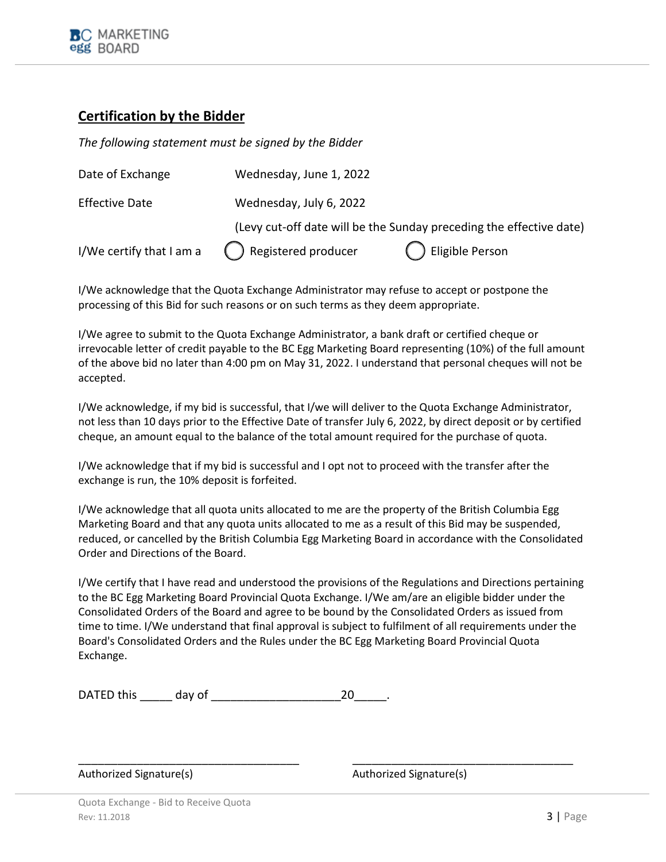#### **Certification by the Bidder**

*The following statement must be signed by the Bidder*

| Date of Exchange                                      | Wednesday, June 1, 2022                                             |                    |  |
|-------------------------------------------------------|---------------------------------------------------------------------|--------------------|--|
| <b>Effective Date</b>                                 | Wednesday, July 6, 2022                                             |                    |  |
|                                                       | (Levy cut-off date will be the Sunday preceding the effective date) |                    |  |
| I/We certify that I am a $\qquad$ Registered producer |                                                                     | () Eligible Person |  |

I/We acknowledge that the Quota Exchange Administrator may refuse to accept or postpone the processing of this Bid for such reasons or on such terms as they deem appropriate.

I/We agree to submit to the Quota Exchange Administrator, a bank draft or certified cheque or irrevocable letter of credit payable to the BC Egg Marketing Board representing (10%) of the full amount of the above bid no later than 4:00 pm on May 31, 2022. I understand that personal cheques will not be accepted.

I/We acknowledge, if my bid is successful, that I/we will deliver to the Quota Exchange Administrator, not less than 10 days prior to the Effective Date of transfer July 6, 2022, by direct deposit or by certified cheque, an amount equal to the balance of the total amount required for the purchase of quota.

I/We acknowledge that if my bid is successful and I opt not to proceed with the transfer after the exchange is run, the 10% deposit is forfeited.

I/We acknowledge that all quota units allocated to me are the property of the British Columbia Egg Marketing Board and that any quota units allocated to me as a result of this Bid may be suspended, reduced, or cancelled by the British Columbia Egg Marketing Board in accordance with the Consolidated Order and Directions of the Board.

I/We certify that I have read and understood the provisions of the Regulations and Directions pertaining to the BC Egg Marketing Board Provincial Quota Exchange. I/We am/are an eligible bidder under the Consolidated Orders of the Board and agree to be bound by the Consolidated Orders as issued from time to time. I/We understand that final approval is subject to fulfilment of all requirements under the Board's Consolidated Orders and the Rules under the BC Egg Marketing Board Provincial Quota Exchange.

\_\_\_\_\_\_\_\_\_\_\_\_\_\_\_\_\_\_\_\_\_\_\_\_\_\_\_\_\_\_\_\_\_\_ \_\_\_\_\_\_\_\_\_\_\_\_\_\_\_\_\_\_\_\_\_\_\_\_\_\_\_\_\_\_\_\_\_\_

DATED this day of the control of the control of the control of the control of the control of the control of the control of the control of the control of the control of the control of the control of the control of the contr

Authorized Signature(s) and a settlement of the Authorized Signature(s)